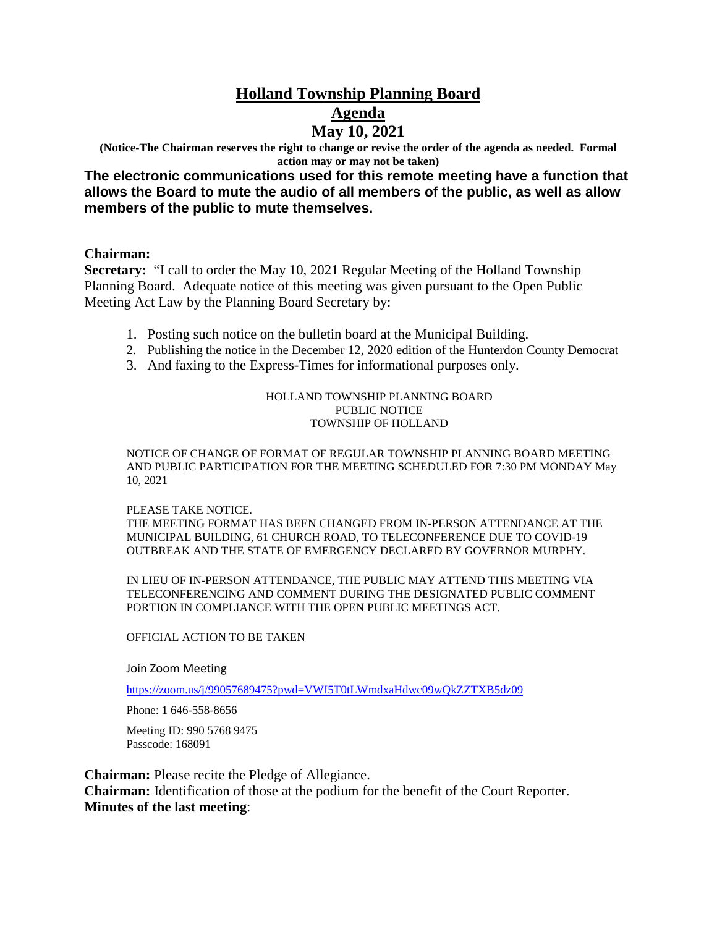# **Holland Township Planning Board Agenda May 10, 2021**

**(Notice-The Chairman reserves the right to change or revise the order of the agenda as needed. Formal action may or may not be taken)** 

**The electronic communications used for this remote meeting have a function that allows the Board to mute the audio of all members of the public, as well as allow members of the public to mute themselves.**

#### **Chairman:**

**Secretary:** "I call to order the May 10, 2021 Regular Meeting of the Holland Township Planning Board. Adequate notice of this meeting was given pursuant to the Open Public Meeting Act Law by the Planning Board Secretary by:

- 1. Posting such notice on the bulletin board at the Municipal Building.
- 2. Publishing the notice in the December 12, 2020 edition of the Hunterdon County Democrat
- 3. And faxing to the Express-Times for informational purposes only.

#### HOLLAND TOWNSHIP PLANNING BOARD PUBLIC NOTICE TOWNSHIP OF HOLLAND

NOTICE OF CHANGE OF FORMAT OF REGULAR TOWNSHIP PLANNING BOARD MEETING AND PUBLIC PARTICIPATION FOR THE MEETING SCHEDULED FOR 7:30 PM MONDAY May 10, 2021

#### PLEASE TAKE NOTICE.

THE MEETING FORMAT HAS BEEN CHANGED FROM IN-PERSON ATTENDANCE AT THE MUNICIPAL BUILDING, 61 CHURCH ROAD, TO TELECONFERENCE DUE TO COVID-19 OUTBREAK AND THE STATE OF EMERGENCY DECLARED BY GOVERNOR MURPHY.

IN LIEU OF IN-PERSON ATTENDANCE, THE PUBLIC MAY ATTEND THIS MEETING VIA TELECONFERENCING AND COMMENT DURING THE DESIGNATED PUBLIC COMMENT PORTION IN COMPLIANCE WITH THE OPEN PUBLIC MEETINGS ACT.

#### OFFICIAL ACTION TO BE TAKEN

Join Zoom Meeting

https://zoom.us/j/99057689475?pwd=VWI5T0tLWmdxaHdwc09wQkZZTXB5dz09

Phone: 1 646-558-8656

Meeting ID: 990 5768 9475 Passcode: 168091

**Chairman:** Please recite the Pledge of Allegiance. **Chairman:** Identification of those at the podium for the benefit of the Court Reporter. **Minutes of the last meeting**: